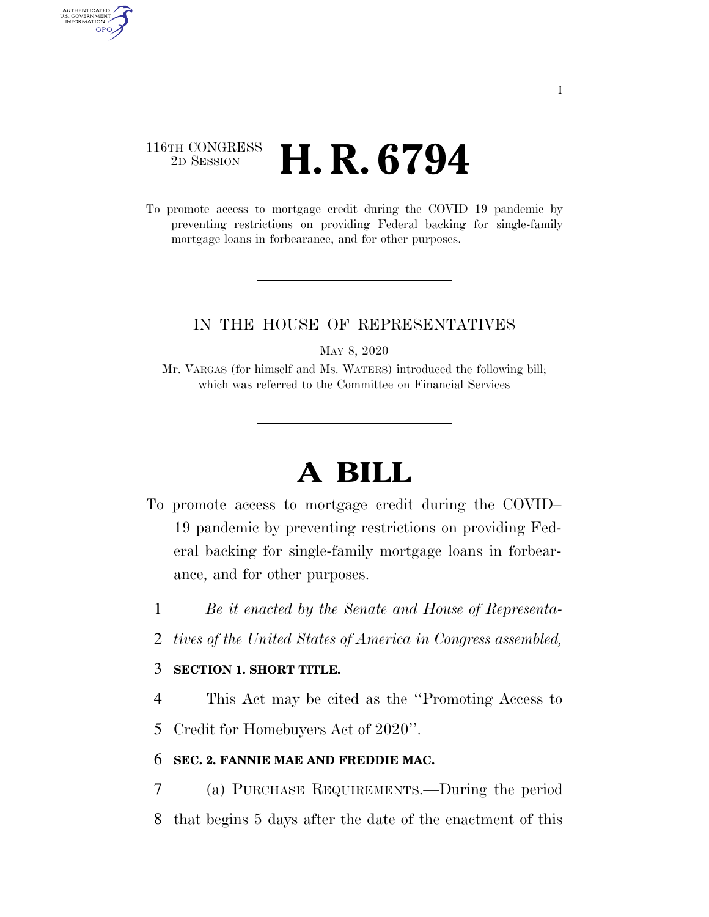# 116TH CONGRESS <sup>2D SESSION</sup> **H. R. 6794**

AUTHENTICATED<br>U.S. GOVERNMENT<br>INFORMATION GPO

> To promote access to mortgage credit during the COVID–19 pandemic by preventing restrictions on providing Federal backing for single-family mortgage loans in forbearance, and for other purposes.

# IN THE HOUSE OF REPRESENTATIVES

MAY 8, 2020

Mr. VARGAS (for himself and Ms. WATERS) introduced the following bill; which was referred to the Committee on Financial Services

# **A BILL**

- To promote access to mortgage credit during the COVID– 19 pandemic by preventing restrictions on providing Federal backing for single-family mortgage loans in forbearance, and for other purposes.
	- 1 *Be it enacted by the Senate and House of Representa-*
	- 2 *tives of the United States of America in Congress assembled,*

#### 3 **SECTION 1. SHORT TITLE.**

4 This Act may be cited as the ''Promoting Access to

5 Credit for Homebuyers Act of 2020''.

### 6 **SEC. 2. FANNIE MAE AND FREDDIE MAC.**

7 (a) PURCHASE REQUIREMENTS.—During the period 8 that begins 5 days after the date of the enactment of this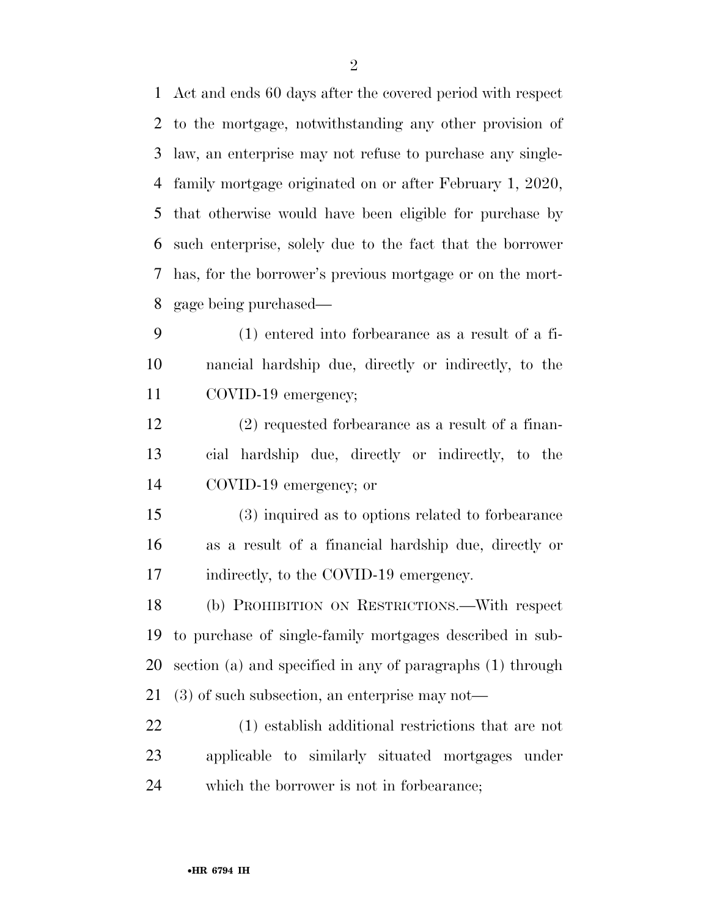Act and ends 60 days after the covered period with respect to the mortgage, notwithstanding any other provision of law, an enterprise may not refuse to purchase any single- family mortgage originated on or after February 1, 2020, that otherwise would have been eligible for purchase by such enterprise, solely due to the fact that the borrower has, for the borrower's previous mortgage or on the mort-gage being purchased—

 (1) entered into forbearance as a result of a fi- nancial hardship due, directly or indirectly, to the COVID-19 emergency;

 (2) requested forbearance as a result of a finan- cial hardship due, directly or indirectly, to the COVID-19 emergency; or

 (3) inquired as to options related to forbearance as a result of a financial hardship due, directly or 17 indirectly, to the COVID-19 emergency.

 (b) PROHIBITION ON RESTRICTIONS.—With respect to purchase of single-family mortgages described in sub- section (a) and specified in any of paragraphs (1) through (3) of such subsection, an enterprise may not—

 (1) establish additional restrictions that are not applicable to similarly situated mortgages under which the borrower is not in forbearance;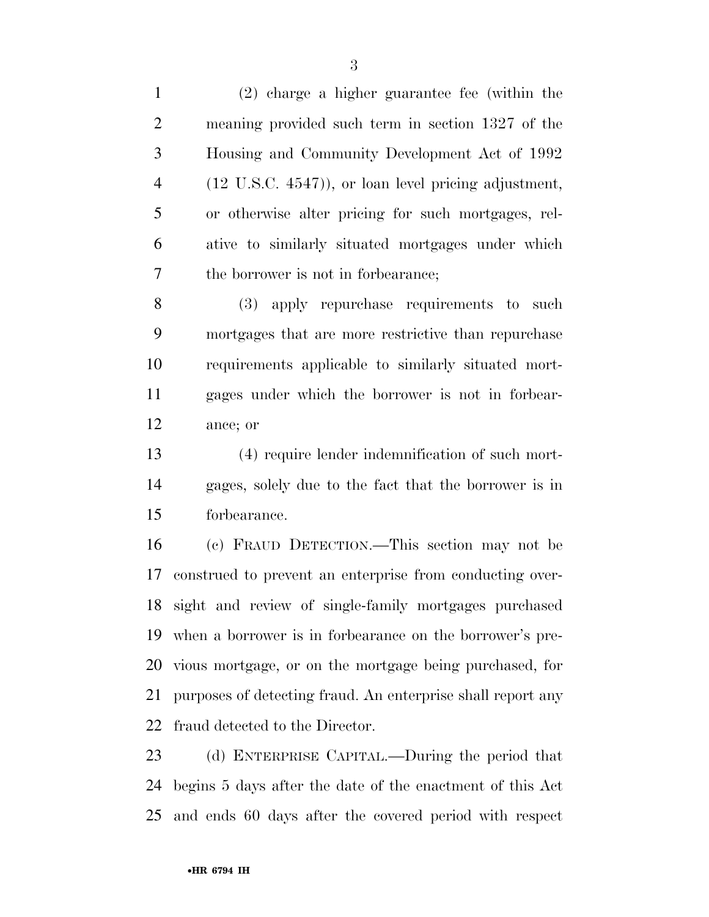(2) charge a higher guarantee fee (within the meaning provided such term in section 1327 of the Housing and Community Development Act of 1992 (12 U.S.C. 4547)), or loan level pricing adjustment, or otherwise alter pricing for such mortgages, rel- ative to similarly situated mortgages under which the borrower is not in forbearance;

 (3) apply repurchase requirements to such mortgages that are more restrictive than repurchase requirements applicable to similarly situated mort- gages under which the borrower is not in forbear-ance; or

 (4) require lender indemnification of such mort- gages, solely due to the fact that the borrower is in forbearance.

 (c) FRAUD DETECTION.—This section may not be construed to prevent an enterprise from conducting over- sight and review of single-family mortgages purchased when a borrower is in forbearance on the borrower's pre- vious mortgage, or on the mortgage being purchased, for purposes of detecting fraud. An enterprise shall report any fraud detected to the Director.

 (d) ENTERPRISE CAPITAL.—During the period that begins 5 days after the date of the enactment of this Act and ends 60 days after the covered period with respect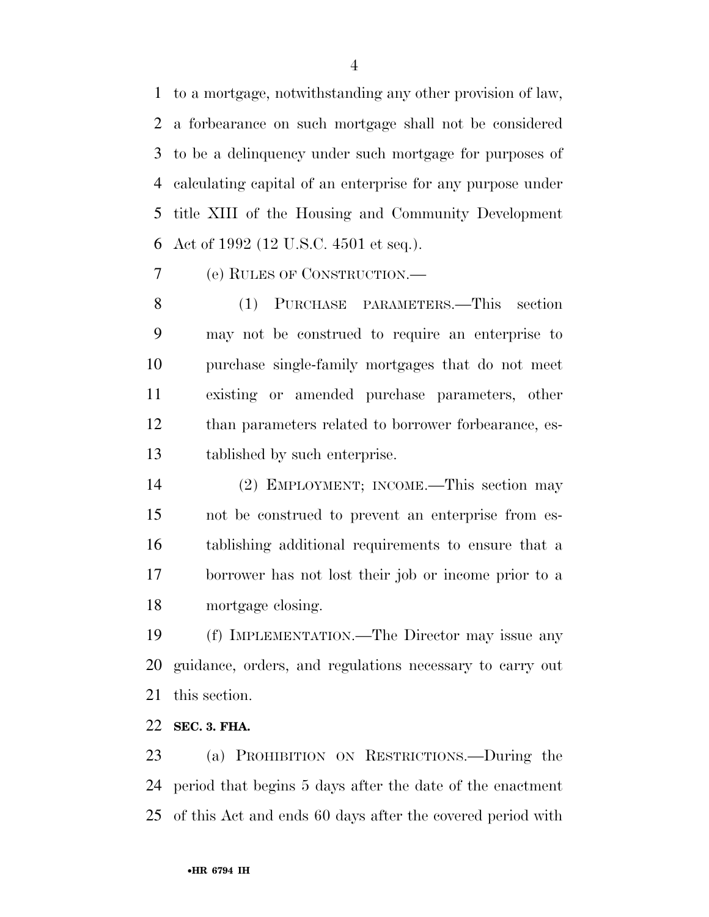to a mortgage, notwithstanding any other provision of law, a forbearance on such mortgage shall not be considered to be a delinquency under such mortgage for purposes of calculating capital of an enterprise for any purpose under title XIII of the Housing and Community Development Act of 1992 (12 U.S.C. 4501 et seq.).

(e) RULES OF CONSTRUCTION.—

 (1) PURCHASE PARAMETERS.—This section may not be construed to require an enterprise to purchase single-family mortgages that do not meet existing or amended purchase parameters, other than parameters related to borrower forbearance, es-tablished by such enterprise.

 (2) EMPLOYMENT; INCOME.—This section may not be construed to prevent an enterprise from es- tablishing additional requirements to ensure that a borrower has not lost their job or income prior to a mortgage closing.

 (f) IMPLEMENTATION.—The Director may issue any guidance, orders, and regulations necessary to carry out this section.

**SEC. 3. FHA.** 

 (a) PROHIBITION ON RESTRICTIONS.—During the period that begins 5 days after the date of the enactment of this Act and ends 60 days after the covered period with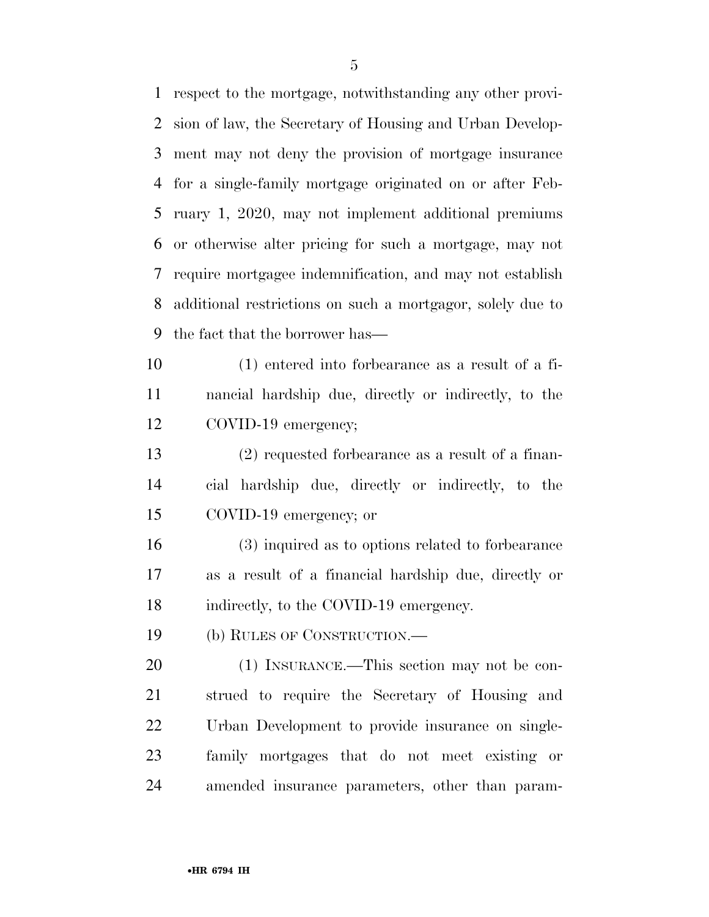respect to the mortgage, notwithstanding any other provi- sion of law, the Secretary of Housing and Urban Develop- ment may not deny the provision of mortgage insurance for a single-family mortgage originated on or after Feb- ruary 1, 2020, may not implement additional premiums or otherwise alter pricing for such a mortgage, may not require mortgagee indemnification, and may not establish additional restrictions on such a mortgagor, solely due to the fact that the borrower has—

 (1) entered into forbearance as a result of a fi- nancial hardship due, directly or indirectly, to the COVID-19 emergency;

 (2) requested forbearance as a result of a finan- cial hardship due, directly or indirectly, to the COVID-19 emergency; or

 (3) inquired as to options related to forbearance as a result of a financial hardship due, directly or indirectly, to the COVID-19 emergency.

(b) RULES OF CONSTRUCTION.—

 (1) INSURANCE.—This section may not be con- strued to require the Secretary of Housing and Urban Development to provide insurance on single- family mortgages that do not meet existing or amended insurance parameters, other than param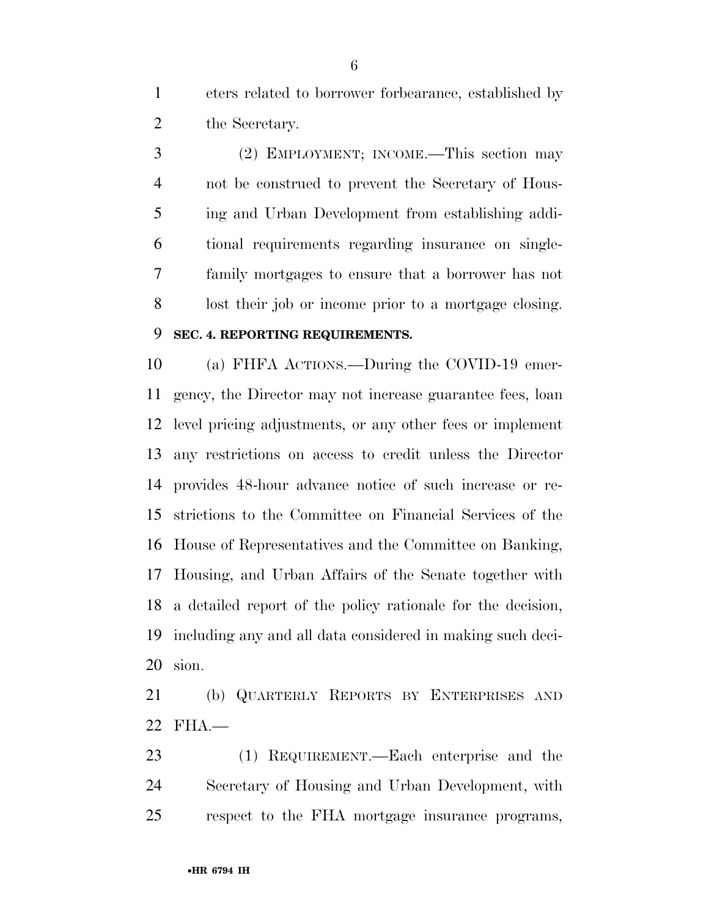eters related to borrower forbearance, established by 2 the Secretary.

 (2) EMPLOYMENT; INCOME.—This section may not be construed to prevent the Secretary of Hous- ing and Urban Development from establishing addi- tional requirements regarding insurance on single- family mortgages to ensure that a borrower has not lost their job or income prior to a mortgage closing.

# **SEC. 4. REPORTING REQUIREMENTS.**

 (a) FHFA ACTIONS.—During the COVID-19 emer- gency, the Director may not increase guarantee fees, loan level pricing adjustments, or any other fees or implement any restrictions on access to credit unless the Director provides 48-hour advance notice of such increase or re- strictions to the Committee on Financial Services of the House of Representatives and the Committee on Banking, Housing, and Urban Affairs of the Senate together with a detailed report of the policy rationale for the decision, including any and all data considered in making such deci-sion.

 (b) QUARTERLY REPORTS BY ENTERPRISES AND FHA.—

 (1) REQUIREMENT.—Each enterprise and the Secretary of Housing and Urban Development, with respect to the FHA mortgage insurance programs,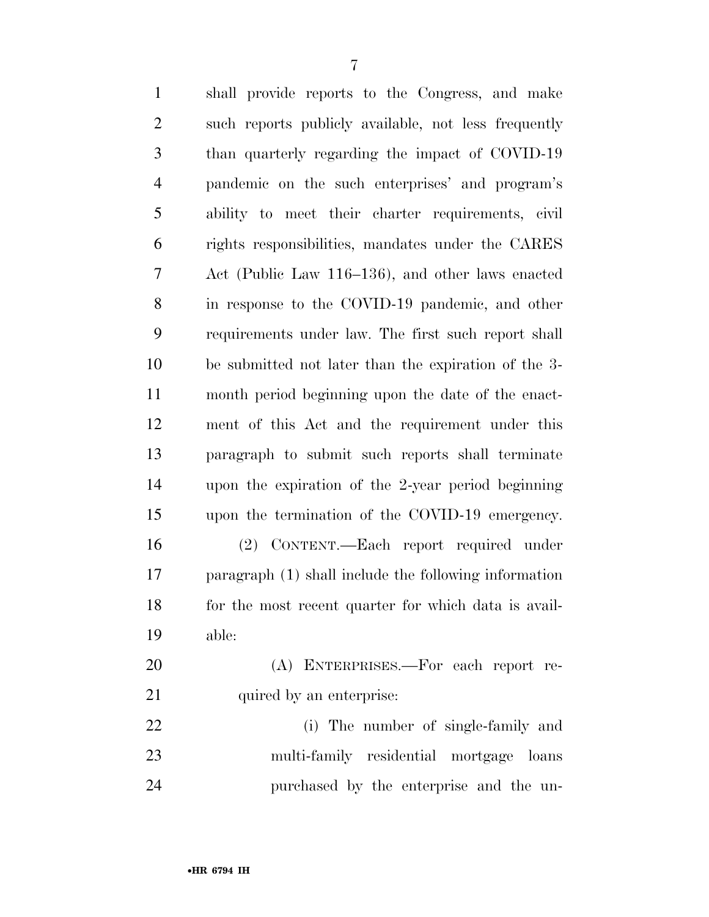| $\mathbf{1}$   | shall provide reports to the Congress, and make       |
|----------------|-------------------------------------------------------|
| $\overline{2}$ | such reports publicly available, not less frequently  |
| 3              | than quarterly regarding the impact of COVID-19       |
| $\overline{4}$ | pandemic on the such enterprises' and program's       |
| 5              | ability to meet their charter requirements, civil     |
| 6              | rights responsibilities, mandates under the CARES     |
| $\tau$         | Act (Public Law 116–136), and other laws enacted      |
| $8\,$          | in response to the COVID-19 pandemic, and other       |
| 9              | requirements under law. The first such report shall   |
| 10             | be submitted not later than the expiration of the 3-  |
| 11             | month period beginning upon the date of the enact-    |
| 12             | ment of this Act and the requirement under this       |
| 13             | paragraph to submit such reports shall terminate      |
| 14             | upon the expiration of the 2-year period beginning    |
| 15             | upon the termination of the COVID-19 emergency.       |
| 16             | (2) CONTENT.—Each report required under               |
| 17             | paragraph (1) shall include the following information |
| 18             | for the most recent quarter for which data is avail-  |
| 19             | able:                                                 |
| 20             | (A) ENTERPRISES.—For each report re-                  |
| 21             | quired by an enterprise:                              |
| 22             | (i) The number of single-family and                   |
| 23             | multi-family residential mortgage loans               |
| 24             | purchased by the enterprise and the un-               |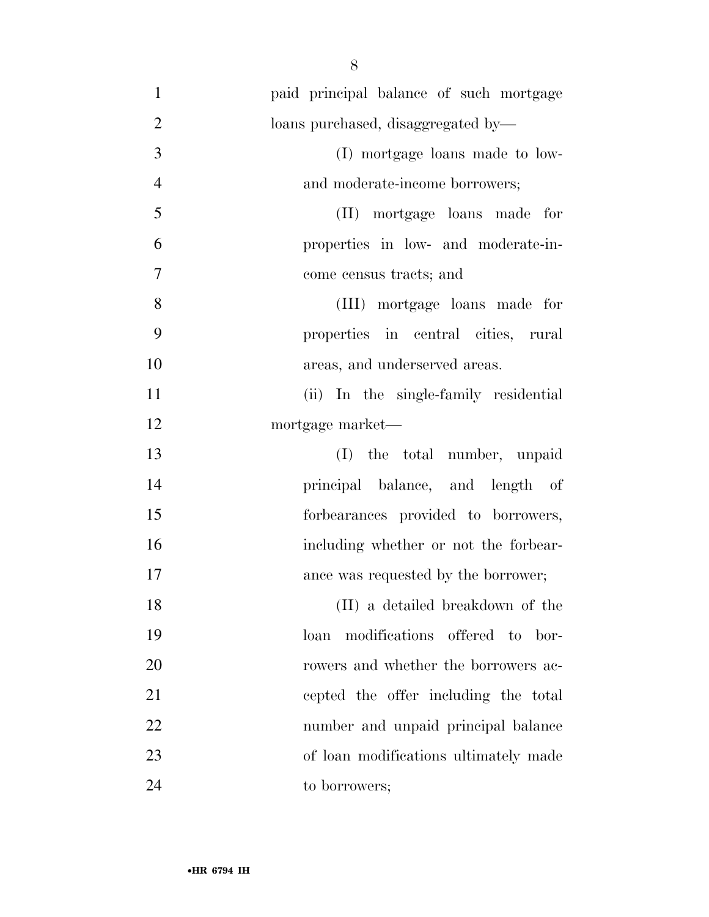| $\mathbf{1}$   | paid principal balance of such mortgage |
|----------------|-----------------------------------------|
| $\overline{2}$ | loans purchased, disaggregated by-      |
| 3              | (I) mortgage loans made to low-         |
| $\overline{4}$ | and moderate-income borrowers;          |
| 5              | (II) mortgage loans made for            |
| 6              | properties in low- and moderate-in-     |
| 7              | come census tracts; and                 |
| 8              | (III) mortgage loans made for           |
| 9              | properties in central cities, rural     |
| 10             | areas, and underserved areas.           |
| 11             | (ii) In the single-family residential   |
| 12             | mortgage market-                        |
| 13             | (I) the total number, unpaid            |
| 14             | principal balance, and length of        |
| 15             | forbearances provided to borrowers,     |
| 16             | including whether or not the forbear-   |
| 17             | ance was requested by the borrower;     |
| 18             | (II) a detailed breakdown of the        |
| 19             | loan modifications offered to bor-      |
| 20             | rowers and whether the borrowers ac-    |
| 21             | cepted the offer including the total    |
| 22             | number and unpaid principal balance     |
| 23             | of loan modifications ultimately made   |
| 24             | to borrowers;                           |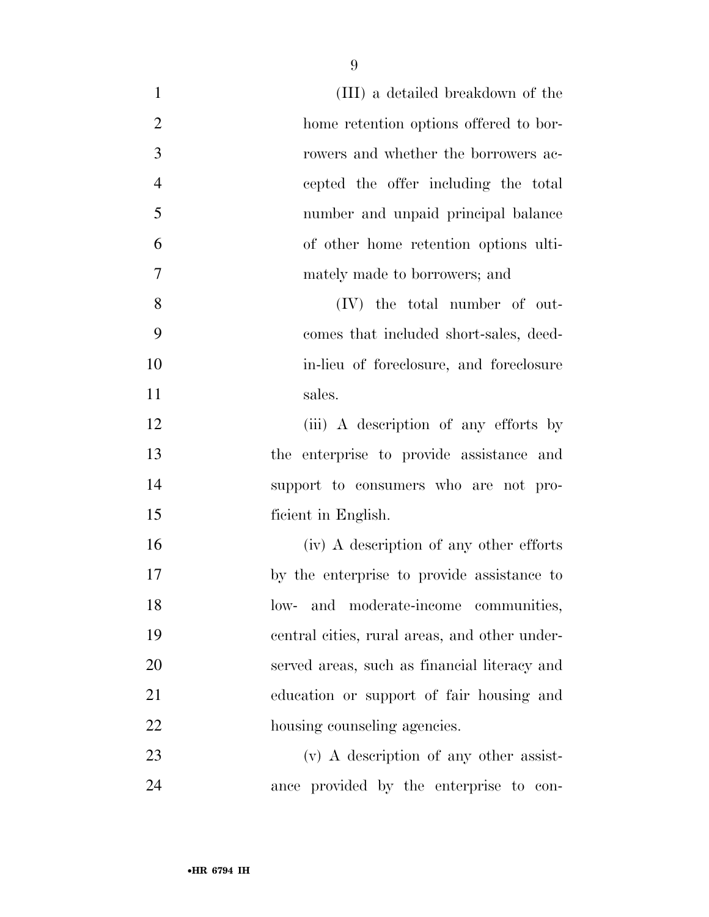| $\mathbf{1}$   | (III) a detailed breakdown of the             |
|----------------|-----------------------------------------------|
| $\overline{2}$ | home retention options offered to bor-        |
| 3              | rowers and whether the borrowers ac-          |
| $\overline{4}$ | cepted the offer including the total          |
| 5              | number and unpaid principal balance           |
| 6              | of other home retention options ulti-         |
| $\overline{7}$ | mately made to borrowers; and                 |
| 8              | $(IV)$ the total number of out-               |
| 9              | comes that included short-sales, deed-        |
| 10             | in-lieu of foreclosure, and foreclosure       |
| 11             | sales.                                        |
| 12             | (iii) A description of any efforts by         |
| 13             | the enterprise to provide assistance and      |
| 14             | support to consumers who are not pro-         |
| 15             | ficient in English.                           |
| 16             | (iv) A description of any other efforts       |
| 17             | by the enterprise to provide assistance to    |
| 18             | and moderate-income communities,<br>low-      |
| 19             | central cities, rural areas, and other under- |
| 20             | served areas, such as financial literacy and  |
| 21             | education or support of fair housing and      |
| 22             | housing counseling agencies.                  |
| 23             | $(v)$ A description of any other assist-      |
| 24             | ance provided by the enterprise to con-       |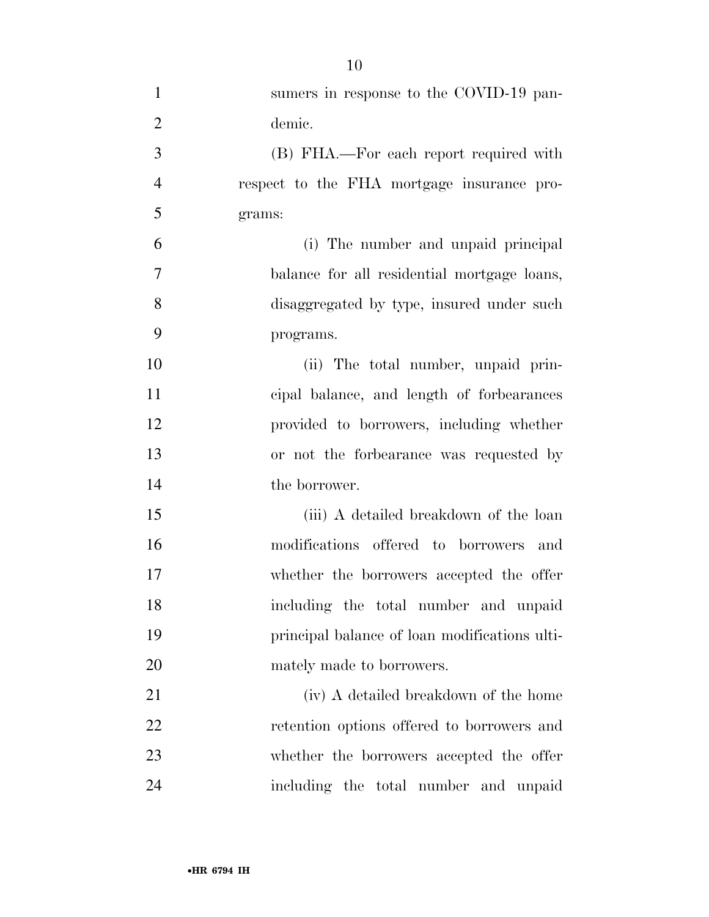| $\mathbf{1}$   | sumers in response to the COVID-19 pan-       |
|----------------|-----------------------------------------------|
| $\overline{2}$ | demic.                                        |
| 3              | (B) FHA.—For each report required with        |
| $\overline{4}$ | respect to the FHA mortgage insurance pro-    |
| 5              | grams:                                        |
| 6              | (i) The number and unpaid principal           |
| $\tau$         | balance for all residential mortgage loans,   |
| 8              | disaggregated by type, insured under such     |
| 9              | programs.                                     |
| 10             | (ii) The total number, unpaid prin-           |
| 11             | cipal balance, and length of forbearances     |
| 12             | provided to borrowers, including whether      |
| 13             | or not the forbearance was requested by       |
| 14             | the borrower.                                 |
| 15             | (iii) A detailed breakdown of the loan        |
| 16             | modifications offered to borrowers<br>and     |
| 17             | whether the borrowers accepted the offer      |
| 18             | including the total number and unpaid         |
| 19             | principal balance of loan modifications ulti- |
| <b>20</b>      | mately made to borrowers.                     |
| 21             | (iv) A detailed breakdown of the home         |
| 22             | retention options offered to borrowers and    |
| 23             | whether the borrowers accepted the offer      |
| 24             | including the total number and unpaid         |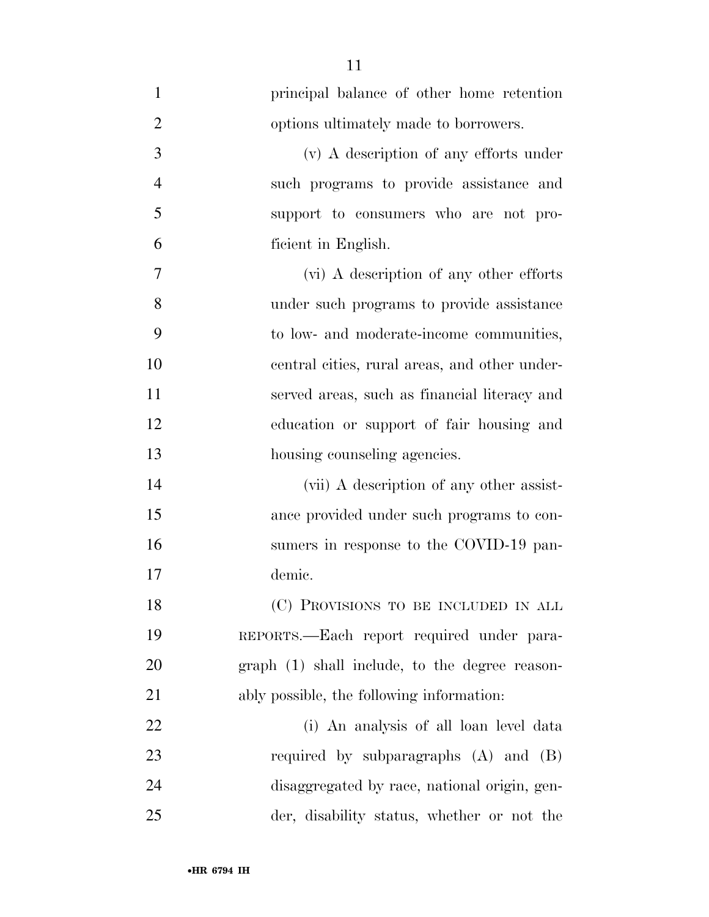| $\mathbf{1}$   | principal balance of other home retention      |
|----------------|------------------------------------------------|
| $\overline{2}$ | options ultimately made to borrowers.          |
| 3              | (v) A description of any efforts under         |
| $\overline{4}$ | such programs to provide assistance and        |
| 5              | support to consumers who are not pro-          |
| 6              | ficient in English.                            |
| 7              | (vi) A description of any other efforts        |
| 8              | under such programs to provide assistance      |
| 9              | to low- and moderate-income communities,       |
| 10             | central cities, rural areas, and other under-  |
| 11             | served areas, such as financial literacy and   |
| 12             | education or support of fair housing and       |
| 13             | housing counseling agencies.                   |
| 14             | (vii) A description of any other assist-       |
| 15             | ance provided under such programs to con-      |
| 16             | sumers in response to the COVID-19 pan-        |
| 17             | demic.                                         |
| 18             | (C) PROVISIONS TO BE INCLUDED IN ALL           |
| 19             | REPORTS.—Each report required under para-      |
| 20             | graph (1) shall include, to the degree reason- |
| 21             | ably possible, the following information:      |
| 22             | (i) An analysis of all loan level data         |
| 23             | required by subparagraphs $(A)$ and $(B)$      |
| 24             | disaggregated by race, national origin, gen-   |
| 25             | der, disability status, whether or not the     |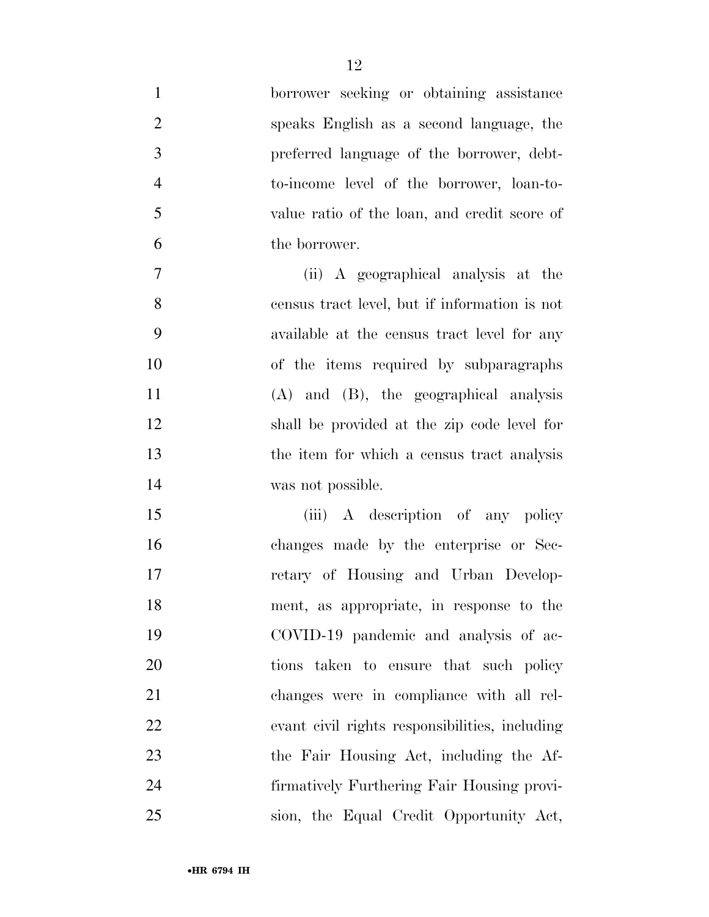| $\mathbf{1}$   | borrower seeking or obtaining assistance       |
|----------------|------------------------------------------------|
| $\overline{2}$ | speaks English as a second language, the       |
| 3              | preferred language of the borrower, debt-      |
| $\overline{4}$ | to-income level of the borrower, loan-to-      |
| 5              | value ratio of the loan, and credit score of   |
| 6              | the borrower.                                  |
| 7              | (ii) A geographical analysis at the            |
| 8              | census tract level, but if information is not  |
| 9              | available at the census tract level for any    |
| 10             | of the items required by subparagraphs         |
| 11             | $(A)$ and $(B)$ , the geographical analysis    |
| 12             | shall be provided at the zip code level for    |
| 13             | the item for which a census tract analysis     |
| 14             | was not possible.                              |
| 15             | (iii) A description of any policy              |
| 16             | changes made by the enterprise or Sec-         |
| 17             | retary of Housing and Urban Develop-           |
| 18             | ment, as appropriate, in response to the       |
| 19             | COVID-19 pandemic and analysis of ac-          |
| 20             | tions taken to ensure that such policy         |
| 21             | changes were in compliance with all rel-       |
| 22             | evant civil rights responsibilities, including |
| 23             | the Fair Housing Act, including the Af-        |
| 24             | firmatively Furthering Fair Housing provi-     |
| 25             | sion, the Equal Credit Opportunity Act,        |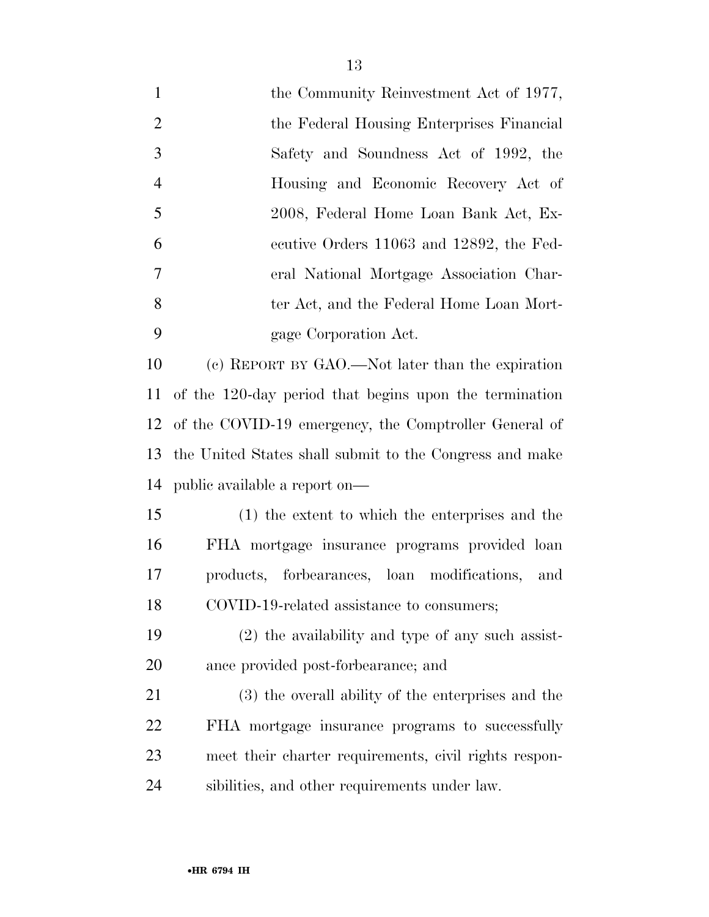| $\mathbf{1}$   | the Community Reinvestment Act of 1977,                 |
|----------------|---------------------------------------------------------|
| $\overline{2}$ | the Federal Housing Enterprises Financial               |
| 3              | Safety and Soundness Act of 1992, the                   |
| $\overline{4}$ | Housing and Economic Recovery Act of                    |
| 5              | 2008, Federal Home Loan Bank Act, Ex-                   |
| 6              | ecutive Orders 11063 and 12892, the Fed-                |
| 7              | eral National Mortgage Association Char-                |
| 8              | ter Act, and the Federal Home Loan Mort-                |
| 9              | gage Corporation Act.                                   |
| 10             | (c) REPORT BY GAO.—Not later than the expiration        |
| <sup>11</sup>  | of the 120-day period that begins upon the termination  |
| 12             | of the COVID-19 emergency, the Comptroller General of   |
| 13             | the United States shall submit to the Congress and make |
| 14             | public available a report on—                           |
| 15             | (1) the extent to which the enterprises and the         |
| 16             | FHA mortgage insurance programs provided loan           |
| 17             | products, forbearances, loan modifications,<br>and      |
| 18             | COVID-19-related assistance to consumers;               |
| 19             | $(2)$ the availability and type of any such assist-     |
| 20             | ance provided post-forbearance; and                     |
| 21             | (3) the overall ability of the enterprises and the      |
| 22             | FHA mortgage insurance programs to successfully         |
| 23             | meet their charter requirements, civil rights respon-   |
| 24             | sibilities, and other requirements under law.           |